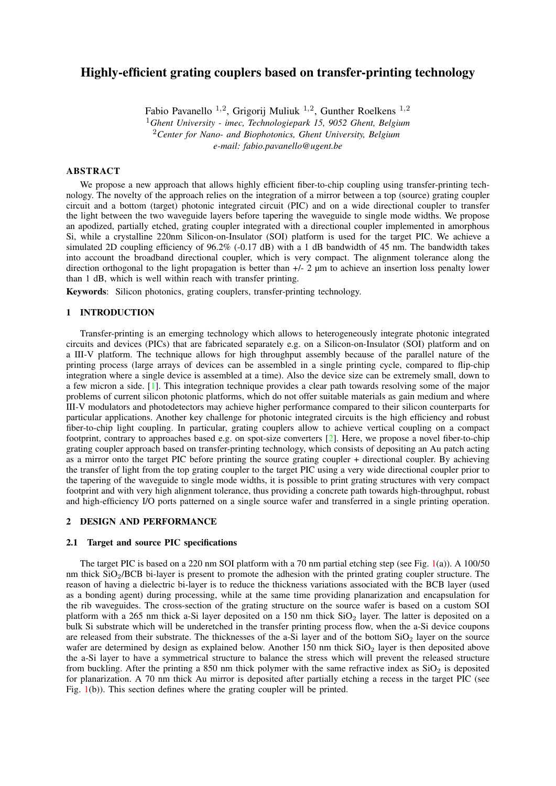# Highly-efficient grating couplers based on transfer-printing technology

Fabio Pavanello <sup>1,2</sup>, Grigorij Muliuk <sup>1,2</sup>, Gunther Roelkens <sup>1,2</sup> <sup>1</sup>*Ghent University - imec, Technologiepark 15, 9052 Ghent, Belgium* <sup>2</sup>*Center for Nano- and Biophotonics, Ghent University, Belgium e-mail: fabio.pavanello@ugent.be*

## ABSTRACT

We propose a new approach that allows highly efficient fiber-to-chip coupling using transfer-printing technology. The novelty of the approach relies on the integration of a mirror between a top (source) grating coupler circuit and a bottom (target) photonic integrated circuit (PIC) and on a wide directional coupler to transfer the light between the two waveguide layers before tapering the waveguide to single mode widths. We propose an apodized, partially etched, grating coupler integrated with a directional coupler implemented in amorphous Si, while a crystalline 220nm Silicon-on-Insulator (SOI) platform is used for the target PIC. We achieve a simulated 2D coupling efficiency of 96.2% (-0.17 dB) with a 1 dB bandwidth of 45 nm. The bandwidth takes into account the broadband directional coupler, which is very compact. The alignment tolerance along the direction orthogonal to the light propagation is better than  $+/-2$  µm to achieve an insertion loss penalty lower than 1 dB, which is well within reach with transfer printing.

Keywords: Silicon photonics, grating couplers, transfer-printing technology.

### 1 INTRODUCTION

Transfer-printing is an emerging technology which allows to heterogeneously integrate photonic integrated circuits and devices (PICs) that are fabricated separately e.g. on a Silicon-on-Insulator (SOI) platform and on a III-V platform. The technique allows for high throughput assembly because of the parallel nature of the printing process (large arrays of devices can be assembled in a single printing cycle, compared to flip-chip integration where a single device is assembled at a time). Also the device size can be extremely small, down to a few micron a side. [\[1\]](#page-2-0). This integration technique provides a clear path towards resolving some of the major problems of current silicon photonic platforms, which do not offer suitable materials as gain medium and where III-V modulators and photodetectors may achieve higher performance compared to their silicon counterparts for particular applications. Another key challenge for photonic integrated circuits is the high efficiency and robust fiber-to-chip light coupling. In particular, grating couplers allow to achieve vertical coupling on a compact footprint, contrary to approaches based e.g. on spot-size converters [\[2\]](#page-2-1). Here, we propose a novel fiber-to-chip grating coupler approach based on transfer-printing technology, which consists of depositing an Au patch acting as a mirror onto the target PIC before printing the source grating coupler + directional coupler. By achieving the transfer of light from the top grating coupler to the target PIC using a very wide directional coupler prior to the tapering of the waveguide to single mode widths, it is possible to print grating structures with very compact footprint and with very high alignment tolerance, thus providing a concrete path towards high-throughput, robust and high-efficiency I/O ports patterned on a single source wafer and transferred in a single printing operation.

#### 2 DESIGN AND PERFORMANCE

#### 2.1 Target and source PIC specifications

The target PIC is based on a 220 nm SOI platform with a 70 nm partial etching step (see Fig. [1\(](#page-1-0)a)). A 100/50 nm thick SiO2/BCB bi-layer is present to promote the adhesion with the printed grating coupler structure. The reason of having a dielectric bi-layer is to reduce the thickness variations associated with the BCB layer (used as a bonding agent) during processing, while at the same time providing planarization and encapsulation for the rib waveguides. The cross-section of the grating structure on the source wafer is based on a custom SOI platform with a 265 nm thick a-Si layer deposited on a 150 nm thick  $SiO<sub>2</sub>$  layer. The latter is deposited on a bulk Si substrate which will be underetched in the transfer printing process flow, when the a-Si device coupons are released from their substrate. The thicknesses of the a-Si layer and of the bottom  $SiO<sub>2</sub>$  layer on the source wafer are determined by design as explained below. Another  $150$  nm thick  $SiO<sub>2</sub>$  layer is then deposited above the a-Si layer to have a symmetrical structure to balance the stress which will prevent the released structure from buckling. After the printing a 850 nm thick polymer with the same refractive index as  $SiO<sub>2</sub>$  is deposited for planarization. A 70 nm thick Au mirror is deposited after partially etching a recess in the target PIC (see Fig. [1\(](#page-1-0)b)). This section defines where the grating coupler will be printed.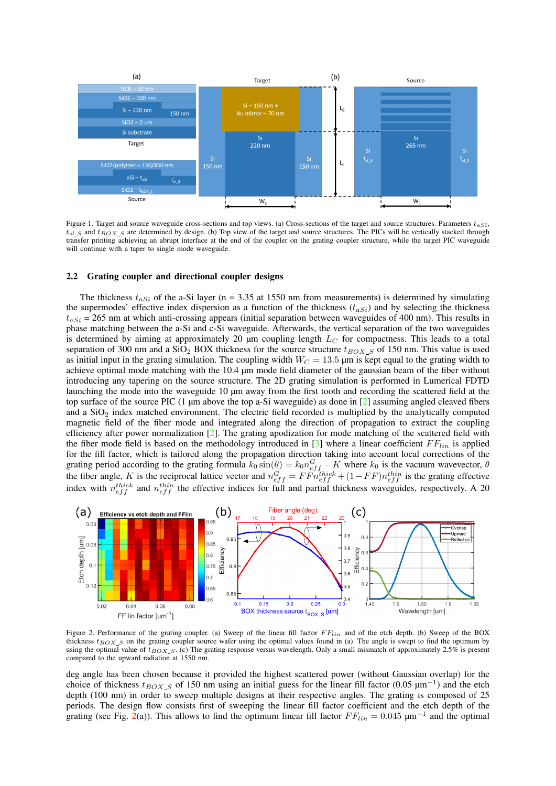

<span id="page-1-0"></span>Figure 1. Target and source waveguide cross-sections and top views. (a) Cross-sections of the target and source structures. Parameters  $t_{aSi}$ ,  $t_{sl}$  s and  $t_{BOX}$  are determined by design. (b) Top view of the target and source structures. The PICs will be vertically stacked through transfer printing achieving an abrupt interface at the end of the coupler on the grating coupler structure, while the target PIC waveguide will continue with a taper to single mode waveguide.

#### 2.2 Grating coupler and directional coupler designs

The thickness  $t_{aSi}$  of the a-Si layer (n = 3.35 at 1550 nm from measurements) is determined by simulating the supermodes' effective index dispersion as a function of the thickness  $(t_{aSi})$  and by selecting the thickness  $t_{aSi}$  = 265 nm at which anti-crossing appears (initial separation between waveguides of 400 nm). This results in phase matching between the a-Si and c-Si waveguide. Afterwards, the vertical separation of the two waveguides is determined by aiming at approximately 20  $\mu$ m coupling length  $L_C$  for compactness. This leads to a total separation of 300 nm and a SiO<sub>2</sub> BOX thickness for the source structure  $t_{BOX,S}$  of 150 nm. This value is used as initial input in the grating simulation. The coupling width  $W_C = 13.5$  µm is kept equal to the grating width to achieve optimal mode matching with the 10.4 µm mode field diameter of the gaussian beam of the fiber without introducing any tapering on the source structure. The 2D grating simulation is performed in Lumerical FDTD launching the mode into the waveguide 10  $\mu$ m away from the first tooth and recording the scattered field at the top surface of the source PIC  $(1 \mu m)$  above the top a-Si waveguide) as done in  $[2]$  assuming angled cleaved fibers and a SiO<sub>2</sub> index matched environment. The electric field recorded is multiplied by the analytically computed magnetic field of the fiber mode and integrated along the direction of propagation to extract the coupling efficiency after power normalization [\[2\]](#page-2-1). The grating apodization for mode matching of the scattered field with the fiber mode field is based on the methodology introduced in  $[3]$  where a linear coefficient  $FF_{lin}$  is applied for the fill factor, which is tailored along the propagation direction taking into account local corrections of the grating period according to the grating formula  $k_0 \sin(\theta) = k_0 n_{eff}^G - K$  where  $k_0$  is the vacuum wavevector,  $\theta$ the fiber angle, K is the reciprocal lattice vector and  $n_{eff}^G = FF\dot{n}_{eff}^{thick} + (1 - FF)n_{eff}^{thin}$  is the grating effective index with  $n_{eff}^{thick}$  and  $n_{eff}^{thin}$  the effective indices for full and partial thickness waveguides, respectively. A 20



<span id="page-1-1"></span>Figure 2. Performance of the grating coupler. (a) Sweep of the linear fill factor  $FF_{lin}$  and of the etch depth. (b) Sweep of the BOX thickness  $t_{BOX,S}$  on the grating coupler source wafer using the optimal values found in (a). The angle is swept to find the optimum by using the optimal value of  $t_{BOX_S}$ . (c) The grating response versus wavelength. Only a small mismatch of approximately 2.5% is present compared to the upward radiation at 1550 nm.

deg angle has been chosen because it provided the highest scattered power (without Gaussian overlap) for the choice of thickness  $t_{BOX}$  of 150 nm using an initial guess for the linear fill factor (0.05  $\mu$ m<sup>-1</sup>) and the etch depth (100 nm) in order to sweep multiple designs at their respective angles. The grating is composed of 25 periods. The design flow consists first of sweeping the linear fill factor coefficient and the etch depth of the grating (see Fig. [2\(](#page-1-1)a)). This allows to find the optimum linear fill factor  $FF_{lin} = 0.045 \ \mu m^{-1}$  and the optimal